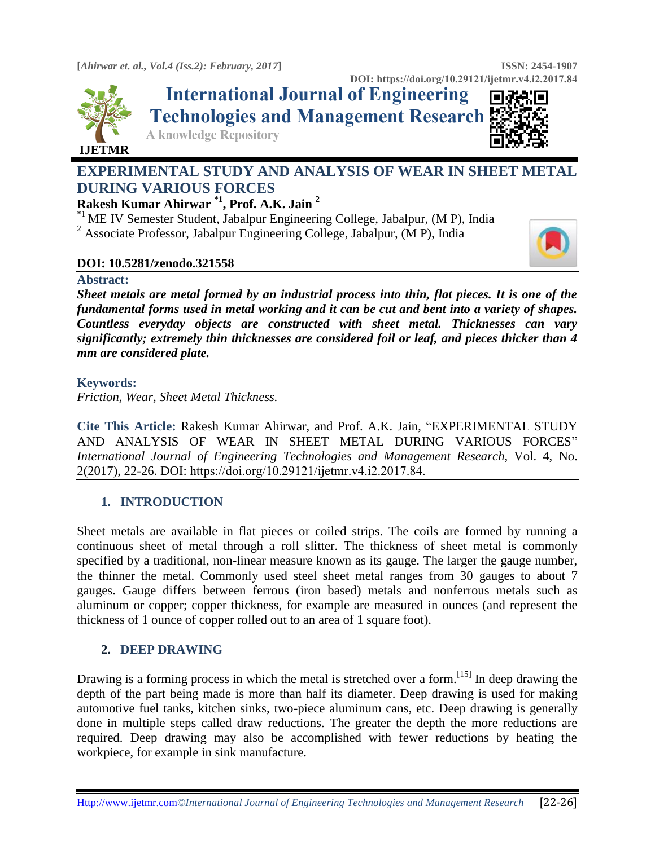



**DOI**: https://doi.org/10.29121/ijetmr.v4.i2.2017.84<br>**International Journal of Engineering Technologies and Management Research** 

**A knowledge Repository** 

# **EXPERIMENTAL STUDY AND ANALYSIS OF WEAR IN SHEET METAL DURING VARIOUS FORCES**

## **Rakesh Kumar Ahirwar \*1 , Prof. A.K. Jain <sup>2</sup>**

\*1 ME IV Semester Student, Jabalpur Engineering College, Jabalpur, (M P), India

<sup>2</sup> Associate Professor, Jabalpur Engineering College, Jabalpur, (M P), India

#### **DOI: 10.5281/zenodo.321558**



*Sheet metals are metal formed by an industrial process into thin, flat pieces. It is one of the fundamental forms used in metal working and it can be cut and bent into a variety of shapes. Countless everyday objects are constructed with sheet metal. Thicknesses can vary significantly; extremely thin thicknesses are considered foil or leaf, and pieces thicker than 4 mm are considered plate.* 

#### **Keywords:**

*Friction, Wear, Sheet Metal Thickness.* 

**Cite This Article:** Rakesh Kumar Ahirwar, and Prof. A.K. Jain, "EXPERIMENTAL STUDY AND ANALYSIS OF WEAR IN SHEET METAL DURING VARIOUS FORCES" *International Journal of Engineering Technologies and Management Research,* Vol. 4, No. 2(2017), 22-26. DOI: https://doi.org/10.29121/ijetmr.v4.i2.2017.84.

## **1. INTRODUCTION**

Sheet metals are available in flat pieces or coiled strips. The coils are formed by running a continuous sheet of metal through a [roll slitter.](http://en.wikipedia.org/wiki/Roll_slitting) The thickness of sheet metal is commonly specified by a traditional, non-linear measure known as its [gauge.](http://en.wikipedia.org/wiki/Sheet_metal_gauge) The larger the gauge number, the thinner the metal. Commonly used steel sheet metal ranges from 30 gauges to about 7 gauges. Gauge differs between ferrous [\(iron based\)](http://en.wikipedia.org/wiki/Iron) metals and nonferrous metals such as aluminum or copper; copper thickness, for example are measured in ounces (and represent the thickness of 1 ounce of copper rolled out to an area of 1 square foot).

### **2. DEEP DRAWING**

Drawing is a forming process in which the metal is stretched over a form.<sup>[\[15\]](http://en.wikipedia.org/wiki/Sheet_metal#cite_note-15)</sup> In deep drawing the depth of the part being made is more than half its diameter. Deep drawing is used for making automotive fuel tanks, kitchen sinks, two-piece [aluminum cans,](http://en.wikipedia.org/wiki/Aluminum_can) etc. Deep drawing is generally done in multiple steps called draw reductions. The greater the depth the more reductions are required. Deep drawing may also be accomplished with fewer reductions by heating the workpiece, for example in sink manufacture.



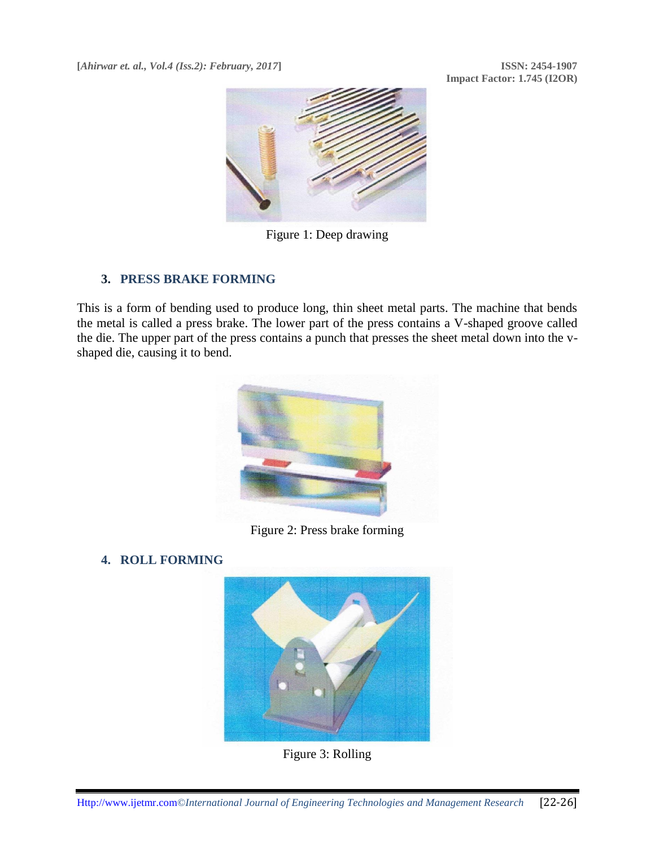**Impact Factor: 1.745 (I2OR)**



Figure 1: Deep drawing

#### **3. PRESS BRAKE FORMING**

This is a form of [bending](http://en.wikipedia.org/wiki/Bending_%28metalworking%29) used to produce long, thin sheet metal parts. The machine that bends the metal is called a [press brake.](http://en.wikipedia.org/wiki/Brake_press) The lower part of the press contains a V-shaped groove called the die. The upper part of the press contains a punch that presses the sheet metal down into the vshaped die, causing it to bend.



Figure 2: Press brake forming

### **4. ROLL FORMING**



Figure 3: Rolling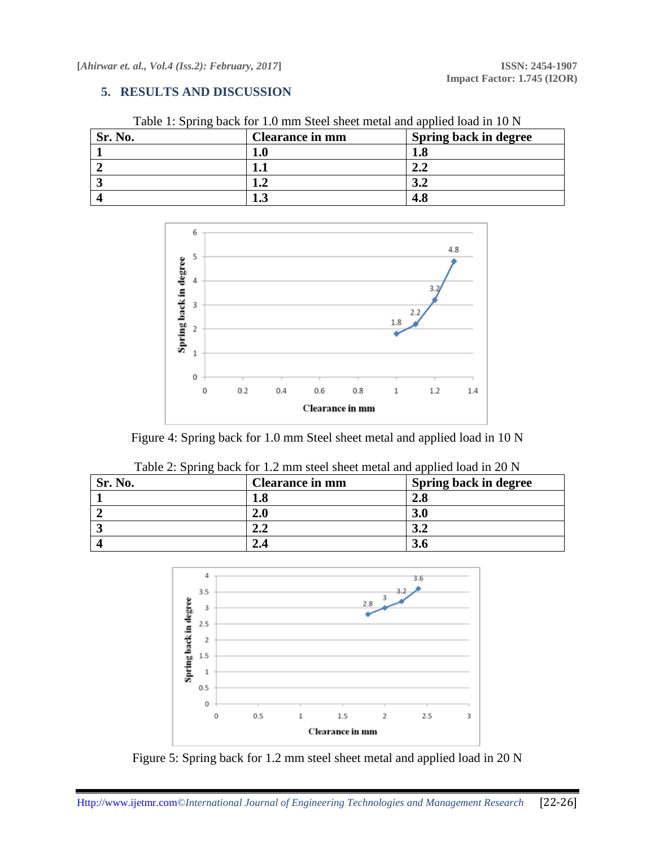#### **5. RESULTS AND DISCUSSION**

| Sr. No. | <b>Clearance in mm</b> | Spring back in degree |
|---------|------------------------|-----------------------|
|         | I.U                    | 1.8                   |
|         |                        | ∠.∠                   |
|         | L •⊿                   | J.Z                   |
|         | 1.J                    |                       |

Table 1: Spring back for 1.0 mm Steel sheet metal and applied load in 10 N



Figure 4: Spring back for 1.0 mm Steel sheet metal and applied load in 10 N

| Table 2: Spring back for 1.2 mm steel sheet metal and applied load in 20 N |     |                       |
|----------------------------------------------------------------------------|-----|-----------------------|
| <b>Clearance in mm</b><br>Sr. No.                                          |     | Spring back in degree |
|                                                                            | 1.8 | 2.8                   |
|                                                                            | 2.0 | <b>3.0</b>            |
|                                                                            | 2.2 | 3.2                   |
|                                                                            |     | 3.6                   |

|     | 1.0 | 4.0      |  |
|-----|-----|----------|--|
|     | 2.0 | 3.0      |  |
|     | 2.2 | 3.2      |  |
|     | 2.4 | 3.6      |  |
|     |     |          |  |
| 4   |     | 3.6      |  |
| 3.5 |     | $-3 - 2$ |  |



Figure 5: Spring back for 1.2 mm steel sheet metal and applied load in 20 N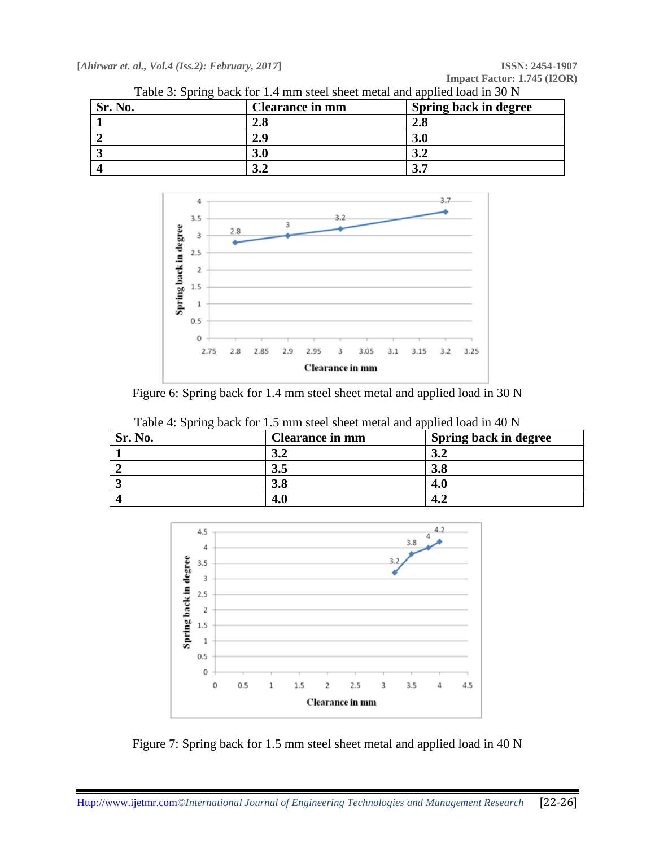٦

|  | Table 3: Spring back for 1.4 mm steel sheet metal and applied load in 30 N |  |
|--|----------------------------------------------------------------------------|--|
|--|----------------------------------------------------------------------------|--|

| Sr. No. | <b>Clearance in mm</b> | Spring back in degree |
|---------|------------------------|-----------------------|
|         | $\bf 2.8$              | 2.8                   |
|         | 2.9                    | 3.0                   |
|         | 3.0                    | ◡•                    |
|         |                        |                       |



Figure 6: Spring back for 1.4 mm steel sheet metal and applied load in 30 N

| Table 4: Spring back for 1.5 mm steel sheet metal and applied load in 40 N |         |                        |                              |
|----------------------------------------------------------------------------|---------|------------------------|------------------------------|
|                                                                            | Sr. No. | <b>Clearance in mm</b> | <b>Spring back in degree</b> |
|                                                                            |         |                        |                              |

| <b>Sr. No.</b> | Clearance in mm | Spring back in degree |
|----------------|-----------------|-----------------------|
|                | ◡∼              | ◡∸                    |
|                | J.J             | 3.8                   |
|                | <b>3.8</b>      | 4.0                   |
|                | 4.0             | 4.4                   |



Figure 7: Spring back for 1.5 mm steel sheet metal and applied load in 40 N